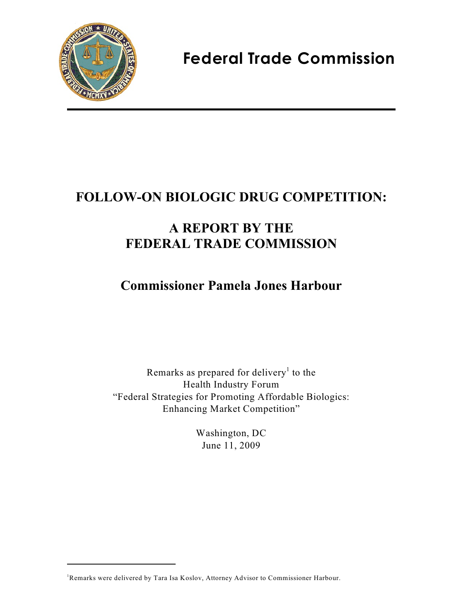

 **Federal Trade Commission**

# **FOLLOW-ON BIOLOGIC DRUG COMPETITION:**

## **A REPORT BY THE FEDERAL TRADE COMMISSION**

## **Commissioner Pamela Jones Harbour**

Remarks as prepared for delivery<sup>1</sup> to the Health Industry Forum "Federal Strategies for Promoting Affordable Biologics: Enhancing Market Competition"

> Washington, DC June 11, 2009

Remarks were delivered by Tara Isa Koslov, Attorney Advisor to Commissioner Harbour.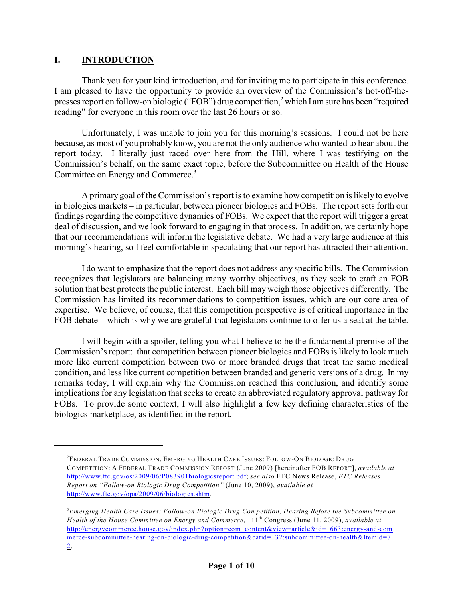#### **I. INTRODUCTION**

Thank you for your kind introduction, and for inviting me to participate in this conference. I am pleased to have the opportunity to provide an overview of the Commission's hot-off-thepresses report on follow-on biologic ("FOB") drug competition,<sup>2</sup> which I am sure has been "required reading" for everyone in this room over the last 26 hours or so.

Unfortunately, I was unable to join you for this morning's sessions. I could not be here because, as most of you probably know, you are not the only audience who wanted to hear about the report today. I literally just raced over here from the Hill, where I was testifying on the Commission's behalf, on the same exact topic, before the Subcommittee on Health of the House Committee on Energy and Commerce.<sup>3</sup>

A primary goal of the Commission's report is to examine how competition is likely to evolve in biologics markets – in particular, between pioneer biologics and FOBs. The report sets forth our findings regarding the competitive dynamics of FOBs. We expect that the report will trigger a great deal of discussion, and we look forward to engaging in that process. In addition, we certainly hope that our recommendations will inform the legislative debate. We had a very large audience at this morning's hearing, so I feel comfortable in speculating that our report has attracted their attention.

I do want to emphasize that the report does not address any specific bills. The Commission recognizes that legislators are balancing many worthy objectives, as they seek to craft an FOB solution that best protects the public interest. Each bill may weigh those objectives differently. The Commission has limited its recommendations to competition issues, which are our core area of expertise. We believe, of course, that this competition perspective is of critical importance in the FOB debate – which is why we are grateful that legislators continue to offer us a seat at the table.

I will begin with a spoiler, telling you what I believe to be the fundamental premise of the Commission's report: that competition between pioneer biologics and FOBs is likely to look much more like current competition between two or more branded drugs that treat the same medical condition, and less like current competition between branded and generic versions of a drug. In my remarks today, I will explain why the Commission reached this conclusion, and identify some implications for any legislation that seeks to create an abbreviated regulatory approval pathway for FOBs. To provide some context, I will also highlight a few key defining characteristics of the biologics marketplace, as identified in the report.

FEDERAL TRADE COMMISSION, EMERGING HEALTH CARE ISSUES: FOLLOW-ON BIOLOGIC DRUG <sup>2</sup> COMPETITION: A FEDERAL TRADE COMMISSION REPORT (June 2009) [hereinafter FOB REPORT], *available at* <http://www.ftc.gov/os/2009/06/P083901biologicsreport.pdf>; *see also* FTC News Release, *FTC Releases Report on "Follow-on Biologic Drug Competition"* (June 10, 2009), *available at* <http://www.ftc.gov/opa/2009/06/biologics.shtm>.

<sup>&</sup>lt;sup>3</sup> Emerging Health Care Issues: Follow-on Biologic Drug Competition, Hearing Before the Subcommittee on *Health of the House Committee on Energy and Commerce*, 111<sup>th</sup> Congress (June 11, 2009), *available at* [http://energycommerce.house.gov/index.php?option=com\\_content&view=article&id=1663:energy-and-com](http://energycommerce.house.gov/index.php?option=com_content&view=article&id=1663:energy-and-commerce-subcommittee-hearing-on-biologic-drug-competition&catid=132:subcommittee-on-health&Itemid=72) [merce-subcommittee-hearing-on-biologic-drug-competition&catid=132:subcommittee-on-health&Itemid=7](http://energycommerce.house.gov/index.php?option=com_content&view=article&id=1663:energy-and-commerce-subcommittee-hearing-on-biologic-drug-competition&catid=132:subcommittee-on-health&Itemid=72) [2](http://energycommerce.house.gov/index.php?option=com_content&view=article&id=1663:energy-and-commerce-subcommittee-hearing-on-biologic-drug-competition&catid=132:subcommittee-on-health&Itemid=72).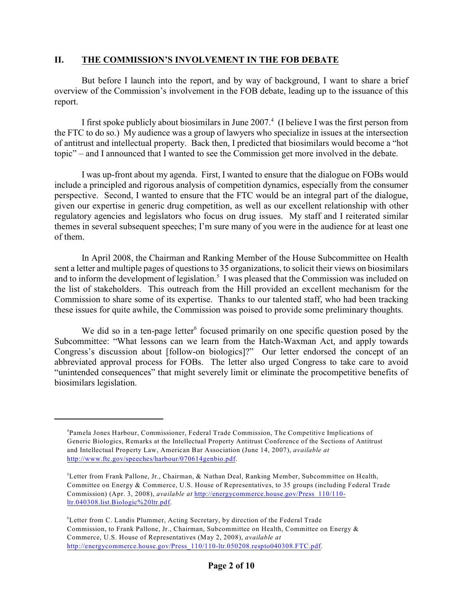#### **II. THE COMMISSION'S INVOLVEMENT IN THE FOB DEBATE**

But before I launch into the report, and by way of background, I want to share a brief overview of the Commission's involvement in the FOB debate, leading up to the issuance of this report.

I first spoke publicly about biosimilars in June 2007.<sup>4</sup> (I believe I was the first person from the FTC to do so.) My audience was a group of lawyers who specialize in issues at the intersection of antitrust and intellectual property. Back then, I predicted that biosimilars would become a "hot topic" – and I announced that I wanted to see the Commission get more involved in the debate.

I was up-front about my agenda. First, I wanted to ensure that the dialogue on FOBs would include a principled and rigorous analysis of competition dynamics, especially from the consumer perspective. Second, I wanted to ensure that the FTC would be an integral part of the dialogue, given our expertise in generic drug competition, as well as our excellent relationship with other regulatory agencies and legislators who focus on drug issues. My staff and I reiterated similar themes in several subsequent speeches; I'm sure many of you were in the audience for at least one of them.

In April 2008, the Chairman and Ranking Member of the House Subcommittee on Health sent a letter and multiple pages of questions to 35 organizations, to solicit their views on biosimilars and to inform the development of legislation.<sup>5</sup> I was pleased that the Commission was included on the list of stakeholders. This outreach from the Hill provided an excellent mechanism for the Commission to share some of its expertise. Thanks to our talented staff, who had been tracking these issues for quite awhile, the Commission was poised to provide some preliminary thoughts.

We did so in a ten-page letter<sup>6</sup> focused primarily on one specific question posed by the Subcommittee: "What lessons can we learn from the Hatch-Waxman Act, and apply towards Congress's discussion about [follow-on biologics]?" Our letter endorsed the concept of an abbreviated approval process for FOBs. The letter also urged Congress to take care to avoid "unintended consequences" that might severely limit or eliminate the procompetitive benefits of biosimilars legislation.

<sup>&</sup>lt;sup>4</sup>Pamela Jones Harbour, Commissioner, Federal Trade Commission, The Competitive Implications of Generic Biologics, Remarks at the Intellectual Property Antitrust Conference of the Sections of Antitrust and Intellectual Property Law, American Bar Association (June 14, 2007), *available at* <http://www.ftc.gov/speeches/harbour/070614genbio.pdf>.

<sup>&</sup>lt;sup>5</sup> Letter from Frank Pallone, Jr., Chairman, & Nathan Deal, Ranking Member, Subcommittee on Health, Committee on Energy & Commerce, U.S. House of Representatives, to 35 groups (including Federal Trade Commission) (Apr. 3, 2008), *available at* [http://energycommerce.house.gov/Press\\_110/110](http://energycommerce.house.gov/Press_110/110-ltr.040308.list.Biologic%20ltr.pdf) [ltr.040308.list.Biologic%20ltr.pdf](http://energycommerce.house.gov/Press_110/110-ltr.040308.list.Biologic%20ltr.pdf).

<sup>&</sup>lt;sup>6</sup> Letter from C. Landis Plummer, Acting Secretary, by direction of the Federal Trade Commission, to Frank Pallone, Jr., Chairman, Subcommittee on Health, Committee on Energy & Commerce, U.S. House of Representatives (May 2, 2008), *available at* [http://energycommerce.house.gov/Press\\_110/110-ltr.050208.respto040308.FTC.pdf](http://energycommerce.house.gov/Press_110/110-ltr.050208.respto040308.FTC.pdf).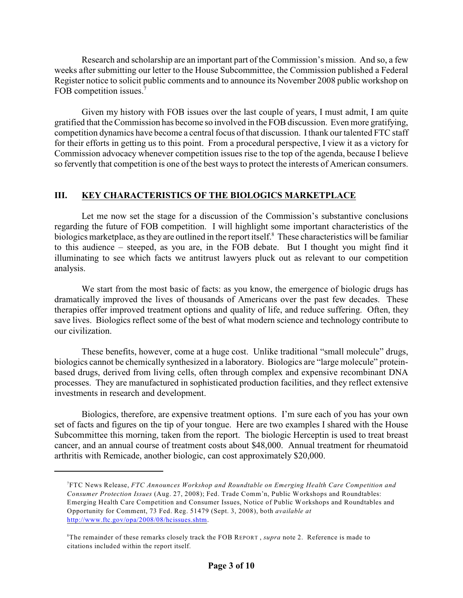Research and scholarship are an important part of the Commission's mission. And so, a few weeks after submitting our letter to the House Subcommittee, the Commission published a Federal Register notice to solicit public comments and to announce its November 2008 public workshop on FOB competition issues.<sup>7</sup>

Given my history with FOB issues over the last couple of years, I must admit, I am quite gratified that the Commission has become so involved in the FOB discussion. Even more gratifying, competition dynamics have become a central focus of that discussion. Ithank our talented FTC staff for their efforts in getting us to this point. From a procedural perspective, I view it as a victory for Commission advocacy whenever competition issues rise to the top of the agenda, because I believe so fervently that competition is one of the best ways to protect the interests of American consumers.

#### **III. KEY CHARACTERISTICS OF THE BIOLOGICS MARKETPLACE**

Let me now set the stage for a discussion of the Commission's substantive conclusions regarding the future of FOB competition. I will highlight some important characteristics of the biologics marketplace, as they are outlined in the report itself.<sup>8</sup> These characteristics will be familiar to this audience – steeped, as you are, in the FOB debate. But I thought you might find it illuminating to see which facts we antitrust lawyers pluck out as relevant to our competition analysis.

We start from the most basic of facts: as you know, the emergence of biologic drugs has dramatically improved the lives of thousands of Americans over the past few decades. These therapies offer improved treatment options and quality of life, and reduce suffering. Often, they save lives. Biologics reflect some of the best of what modern science and technology contribute to our civilization.

These benefits, however, come at a huge cost. Unlike traditional "small molecule" drugs, biologics cannot be chemically synthesized in a laboratory. Biologics are "large molecule" proteinbased drugs, derived from living cells, often through complex and expensive recombinant DNA processes. They are manufactured in sophisticated production facilities, and they reflect extensive investments in research and development.

Biologics, therefore, are expensive treatment options. I'm sure each of you has your own set of facts and figures on the tip of your tongue. Here are two examples I shared with the House Subcommittee this morning, taken from the report. The biologic Herceptin is used to treat breast cancer, and an annual course of treatment costs about \$48,000. Annual treatment for rheumatoid arthritis with Remicade, another biologic, can cost approximately \$20,000.

FTC News Release, *FTC Announces Workshop and Roundtable on Emerging Health Care Competition and* <sup>7</sup> *Consumer Protection Issues* (Aug. 27, 2008); Fed. Trade Comm'n, Public Workshops and Roundtables: Emerging Health Care Competition and Consumer Issues, Notice of Public Workshops and Roundtables and Opportunity for Comment, 73 Fed. Reg. 51479 (Sept. 3, 2008), both *available at* <http://www.ftc.gov/opa/2008/08/hcissues.shtm>.

<sup>&</sup>lt;sup>8</sup>The remainder of these remarks closely track the FOB REPORT, *supra* note 2. Reference is made to citations included within the report itself.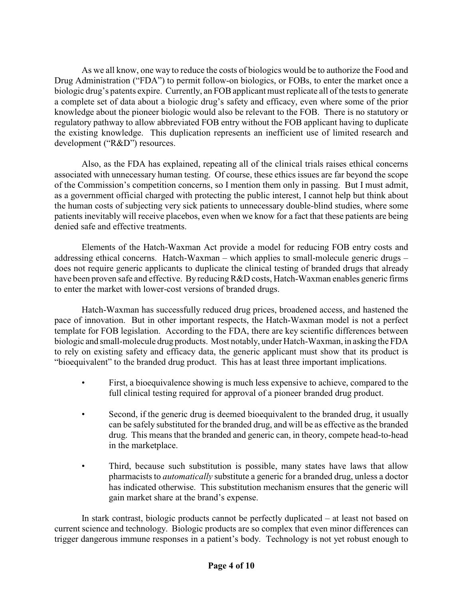As we all know, one way to reduce the costs of biologics would be to authorize the Food and Drug Administration ("FDA") to permit follow-on biologics, or FOBs, to enter the market once a biologic drug's patents expire. Currently, an FOB applicant must replicate all of the tests to generate a complete set of data about a biologic drug's safety and efficacy, even where some of the prior knowledge about the pioneer biologic would also be relevant to the FOB. There is no statutory or regulatory pathway to allow abbreviated FOB entry without the FOB applicant having to duplicate the existing knowledge. This duplication represents an inefficient use of limited research and development ("R&D") resources.

Also, as the FDA has explained, repeating all of the clinical trials raises ethical concerns associated with unnecessary human testing. Of course, these ethics issues are far beyond the scope of the Commission's competition concerns, so I mention them only in passing. But I must admit, as a government official charged with protecting the public interest, I cannot help but think about the human costs of subjecting very sick patients to unnecessary double-blind studies, where some patients inevitably will receive placebos, even when we know for a fact that these patients are being denied safe and effective treatments.

Elements of the Hatch-Waxman Act provide a model for reducing FOB entry costs and addressing ethical concerns. Hatch-Waxman – which applies to small-molecule generic drugs – does not require generic applicants to duplicate the clinical testing of branded drugs that already have been proven safe and effective. By reducing R&D costs, Hatch-Waxman enables generic firms to enter the market with lower-cost versions of branded drugs.

Hatch-Waxman has successfully reduced drug prices, broadened access, and hastened the pace of innovation. But in other important respects, the Hatch-Waxman model is not a perfect template for FOB legislation. According to the FDA, there are key scientific differences between biologic and small-molecule drug products. Most notably, under Hatch-Waxman, in asking the FDA to rely on existing safety and efficacy data, the generic applicant must show that its product is "bioequivalent" to the branded drug product. This has at least three important implications.

- First, a bioequivalence showing is much less expensive to achieve, compared to the full clinical testing required for approval of a pioneer branded drug product.
- Second, if the generic drug is deemed bioequivalent to the branded drug, it usually can be safely substituted for the branded drug, and will be as effective as the branded drug. This means that the branded and generic can, in theory, compete head-to-head in the marketplace.
- Third, because such substitution is possible, many states have laws that allow pharmacists to *automatically* substitute a generic for a branded drug, unless a doctor has indicated otherwise. This substitution mechanism ensures that the generic will gain market share at the brand's expense.

In stark contrast, biologic products cannot be perfectly duplicated – at least not based on current science and technology. Biologic products are so complex that even minor differences can trigger dangerous immune responses in a patient's body. Technology is not yet robust enough to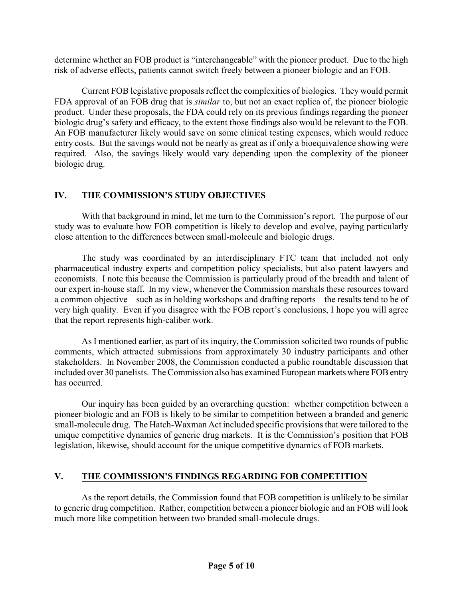determine whether an FOB product is "interchangeable" with the pioneer product. Due to the high risk of adverse effects, patients cannot switch freely between a pioneer biologic and an FOB.

Current FOB legislative proposals reflect the complexities of biologics. They would permit FDA approval of an FOB drug that is *similar* to, but not an exact replica of, the pioneer biologic product. Under these proposals, the FDA could rely on its previous findings regarding the pioneer biologic drug's safety and efficacy, to the extent those findings also would be relevant to the FOB. An FOB manufacturer likely would save on some clinical testing expenses, which would reduce entry costs. But the savings would not be nearly as great as if only a bioequivalence showing were required. Also, the savings likely would vary depending upon the complexity of the pioneer biologic drug.

#### **IV. THE COMMISSION'S STUDY OBJECTIVES**

With that background in mind, let me turn to the Commission's report. The purpose of our study was to evaluate how FOB competition is likely to develop and evolve, paying particularly close attention to the differences between small-molecule and biologic drugs.

The study was coordinated by an interdisciplinary FTC team that included not only pharmaceutical industry experts and competition policy specialists, but also patent lawyers and economists. I note this because the Commission is particularly proud of the breadth and talent of our expert in-house staff. In my view, whenever the Commission marshals these resources toward a common objective – such as in holding workshops and drafting reports – the results tend to be of very high quality. Even if you disagree with the FOB report's conclusions, I hope you will agree that the report represents high-caliber work.

As I mentioned earlier, as part of its inquiry, the Commission solicited two rounds of public comments, which attracted submissions from approximately 30 industry participants and other stakeholders. In November 2008, the Commission conducted a public roundtable discussion that included over 30 panelists. The Commission also has examined European markets where FOB entry has occurred.

Our inquiry has been guided by an overarching question: whether competition between a pioneer biologic and an FOB is likely to be similar to competition between a branded and generic small-molecule drug. The Hatch-Waxman Act included specific provisions that were tailored to the unique competitive dynamics of generic drug markets. It is the Commission's position that FOB legislation, likewise, should account for the unique competitive dynamics of FOB markets.

#### **V. THE COMMISSION'S FINDINGS REGARDING FOB COMPETITION**

As the report details, the Commission found that FOB competition is unlikely to be similar to generic drug competition. Rather, competition between a pioneer biologic and an FOB will look much more like competition between two branded small-molecule drugs.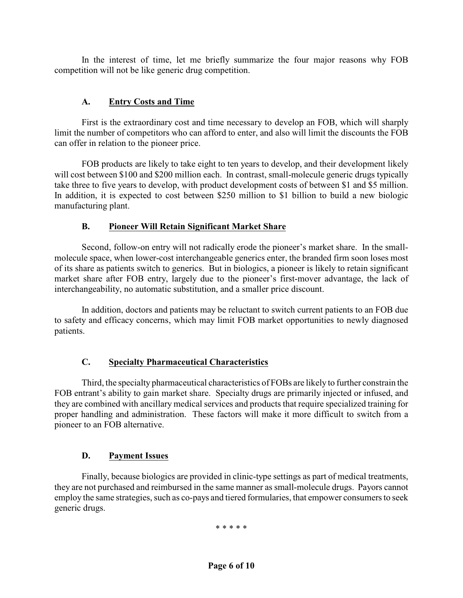In the interest of time, let me briefly summarize the four major reasons why FOB competition will not be like generic drug competition.

#### **A. Entry Costs and Time**

First is the extraordinary cost and time necessary to develop an FOB, which will sharply limit the number of competitors who can afford to enter, and also will limit the discounts the FOB can offer in relation to the pioneer price.

FOB products are likely to take eight to ten years to develop, and their development likely will cost between \$100 and \$200 million each. In contrast, small-molecule generic drugs typically take three to five years to develop, with product development costs of between \$1 and \$5 million. In addition, it is expected to cost between \$250 million to \$1 billion to build a new biologic manufacturing plant.

#### **B. Pioneer Will Retain Significant Market Share**

Second, follow-on entry will not radically erode the pioneer's market share. In the smallmolecule space, when lower-cost interchangeable generics enter, the branded firm soon loses most of its share as patients switch to generics. But in biologics, a pioneer is likely to retain significant market share after FOB entry, largely due to the pioneer's first-mover advantage, the lack of interchangeability, no automatic substitution, and a smaller price discount.

In addition, doctors and patients may be reluctant to switch current patients to an FOB due to safety and efficacy concerns, which may limit FOB market opportunities to newly diagnosed patients.

#### **C. Specialty Pharmaceutical Characteristics**

Third, the specialty pharmaceutical characteristics of FOBs are likely to further constrain the FOB entrant's ability to gain market share. Specialty drugs are primarily injected or infused, and they are combined with ancillary medical services and products that require specialized training for proper handling and administration. These factors will make it more difficult to switch from a pioneer to an FOB alternative.

#### **D. Payment Issues**

Finally, because biologics are provided in clinic-type settings as part of medical treatments, they are not purchased and reimbursed in the same manner as small-molecule drugs. Payors cannot employ the same strategies, such as co-pays and tiered formularies, that empower consumers to seek generic drugs.

\* \* \* \* \*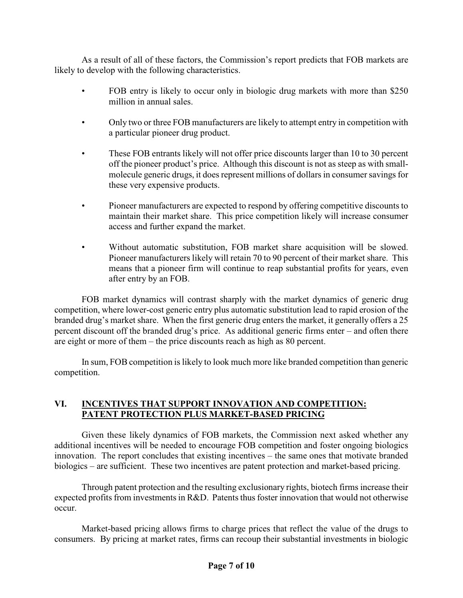As a result of all of these factors, the Commission's report predicts that FOB markets are likely to develop with the following characteristics.

- FOB entry is likely to occur only in biologic drug markets with more than \$250 million in annual sales.
- Only two or three FOB manufacturers are likely to attempt entry in competition with a particular pioneer drug product.
- These FOB entrants likely will not offer price discounts larger than 10 to 30 percent off the pioneer product's price. Although this discount is not as steep as with smallmolecule generic drugs, it does represent millions of dollars in consumer savings for these very expensive products.
- Pioneer manufacturers are expected to respond by offering competitive discounts to maintain their market share. This price competition likely will increase consumer access and further expand the market.
- Without automatic substitution, FOB market share acquisition will be slowed. Pioneer manufacturers likely will retain 70 to 90 percent of their market share. This means that a pioneer firm will continue to reap substantial profits for years, even after entry by an FOB.

FOB market dynamics will contrast sharply with the market dynamics of generic drug competition, where lower-cost generic entry plus automatic substitution lead to rapid erosion of the branded drug's market share. When the first generic drug enters the market, it generally offers a 25 percent discount off the branded drug's price. As additional generic firms enter – and often there are eight or more of them – the price discounts reach as high as 80 percent.

In sum, FOB competition is likely to look much more like branded competition than generic competition.

#### **VI. INCENTIVES THAT SUPPORT INNOVATION AND COMPETITION: PATENT PROTECTION PLUS MARKET-BASED PRICING**

Given these likely dynamics of FOB markets, the Commission next asked whether any additional incentives will be needed to encourage FOB competition and foster ongoing biologics innovation. The report concludes that existing incentives – the same ones that motivate branded biologics – are sufficient. These two incentives are patent protection and market-based pricing.

Through patent protection and the resulting exclusionary rights, biotech firms increase their expected profits from investments in R&D. Patents thus foster innovation that would not otherwise occur.

Market-based pricing allows firms to charge prices that reflect the value of the drugs to consumers. By pricing at market rates, firms can recoup their substantial investments in biologic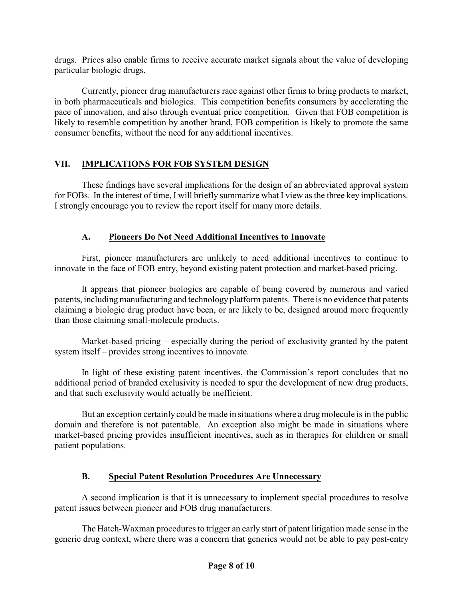drugs. Prices also enable firms to receive accurate market signals about the value of developing particular biologic drugs.

Currently, pioneer drug manufacturers race against other firms to bring products to market, in both pharmaceuticals and biologics. This competition benefits consumers by accelerating the pace of innovation, and also through eventual price competition. Given that FOB competition is likely to resemble competition by another brand, FOB competition is likely to promote the same consumer benefits, without the need for any additional incentives.

## **VII. IMPLICATIONS FOR FOB SYSTEM DESIGN**

These findings have several implications for the design of an abbreviated approval system for FOBs. In the interest of time, I will briefly summarize what I view as the three key implications. I strongly encourage you to review the report itself for many more details.

## **A. Pioneers Do Not Need Additional Incentives to Innovate**

First, pioneer manufacturers are unlikely to need additional incentives to continue to innovate in the face of FOB entry, beyond existing patent protection and market-based pricing.

It appears that pioneer biologics are capable of being covered by numerous and varied patents, including manufacturing and technology platform patents. There is no evidence that patents claiming a biologic drug product have been, or are likely to be, designed around more frequently than those claiming small-molecule products.

Market-based pricing – especially during the period of exclusivity granted by the patent system itself – provides strong incentives to innovate.

In light of these existing patent incentives, the Commission's report concludes that no additional period of branded exclusivity is needed to spur the development of new drug products, and that such exclusivity would actually be inefficient.

But an exception certainly could be made in situations where a drug molecule is in the public domain and therefore is not patentable. An exception also might be made in situations where market-based pricing provides insufficient incentives, such as in therapies for children or small patient populations.

## **B. Special Patent Resolution Procedures Are Unnecessary**

A second implication is that it is unnecessary to implement special procedures to resolve patent issues between pioneer and FOB drug manufacturers.

The Hatch-Waxman procedures to trigger an early start of patent litigation made sense in the generic drug context, where there was a concern that generics would not be able to pay post-entry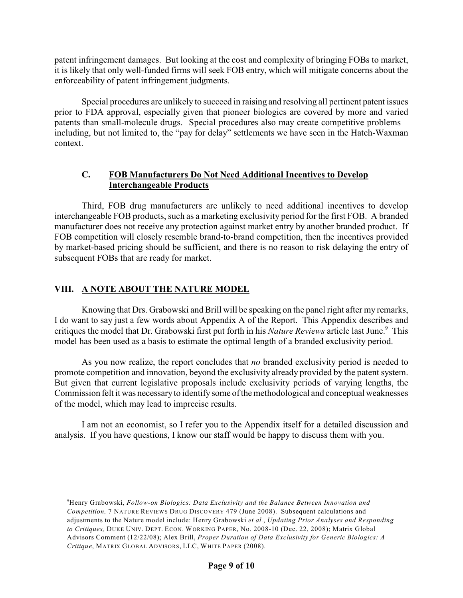patent infringement damages. But looking at the cost and complexity of bringing FOBs to market, it is likely that only well-funded firms will seek FOB entry, which will mitigate concerns about the enforceability of patent infringement judgments.

Special procedures are unlikely to succeed in raising and resolving all pertinent patent issues prior to FDA approval, especially given that pioneer biologics are covered by more and varied patents than small-molecule drugs. Special procedures also may create competitive problems – including, but not limited to, the "pay for delay" settlements we have seen in the Hatch-Waxman context.

#### **C. FOB Manufacturers Do Not Need Additional Incentives to Develop Interchangeable Products**

Third, FOB drug manufacturers are unlikely to need additional incentives to develop interchangeable FOB products, such as a marketing exclusivity period for the first FOB. A branded manufacturer does not receive any protection against market entry by another branded product. If FOB competition will closely resemble brand-to-brand competition, then the incentives provided by market-based pricing should be sufficient, and there is no reason to risk delaying the entry of subsequent FOBs that are ready for market.

## **VIII. A NOTE ABOUT THE NATURE MODEL**

Knowing that Drs. Grabowski and Brill will be speaking on the panel right after my remarks, I do want to say just a few words about Appendix A of the Report. This Appendix describes and critiques the model that Dr. Grabowski first put forth in his *Nature Reviews* article last June.<sup>9</sup> This model has been used as a basis to estimate the optimal length of a branded exclusivity period.

As you now realize, the report concludes that *no* branded exclusivity period is needed to promote competition and innovation, beyond the exclusivity already provided by the patent system. But given that current legislative proposals include exclusivity periods of varying lengths, the Commission felt it was necessary to identify some of the methodological and conceptual weaknesses of the model, which may lead to imprecise results.

I am not an economist, so I refer you to the Appendix itself for a detailed discussion and analysis. If you have questions, I know our staff would be happy to discuss them with you.

<sup>&</sup>lt;sup>9</sup>Henry Grabowski, *Follow-on Biologics: Data Exclusivity and the Balance Between Innovation and Competition,* 7 NATURE REVIEWS DRUG DISCOVERY 479 (June 2008). Subsequent calculations and adjustments to the Nature model include: Henry Grabowski *et al.*, *Updating Prior Analyses and Responding to Critiques,* DUKE UNIV. DEPT. ECON. WORKING PAPER, No. 2008-10 (Dec. 22, 2008); Matrix Global Advisors Comment (12/22/08); Alex Brill, *Proper Duration of Data Exclusivity for Generic Biologics: A Critique*, MATRIX GLOBAL ADVISORS, LLC, WHITE PAPER (2008).